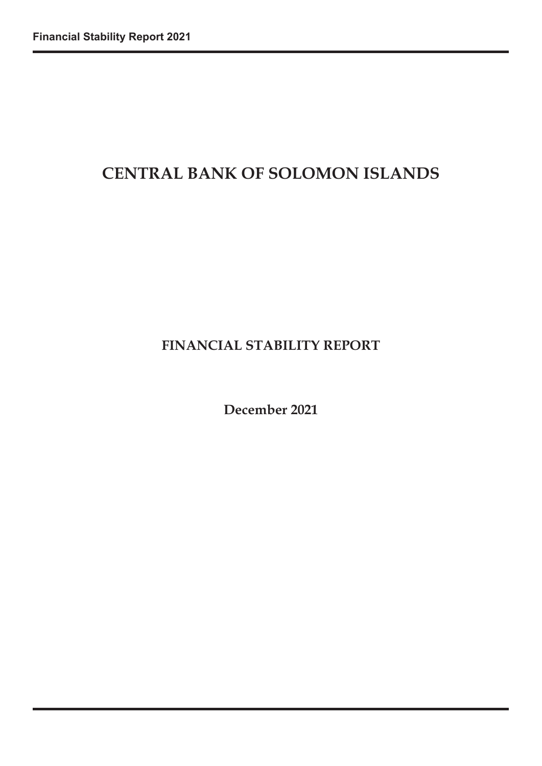# **CENTRAL BANK OF SOLOMON ISLANDS**

# **FINANCIAL STABILITY REPORT**

**December 2021**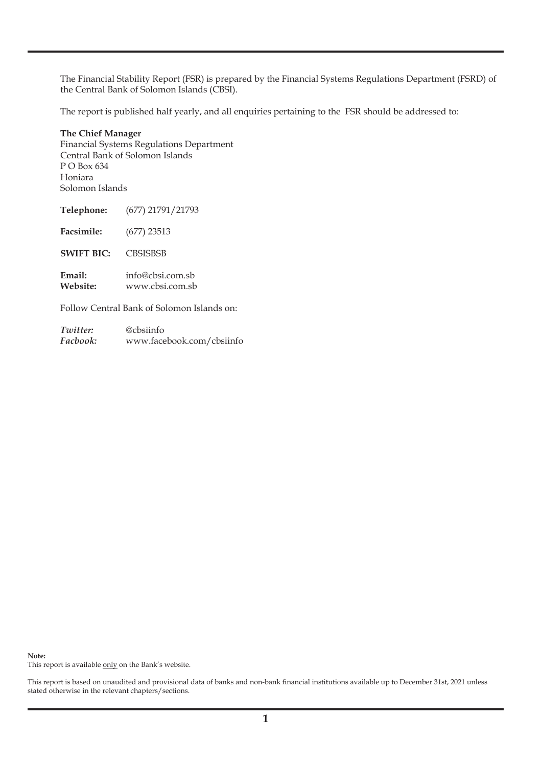The Financial Stability Report (FSR) is prepared by the Financial Systems Regulations Department (FSRD) of the Central Bank of Solomon Islands (CBSI).

The report is published half yearly, and all enquiries pertaining to the FSR should be addressed to:

#### **The Chief Manager** Financial Systems Regulations Department Central Bank of Solomon Islands P O Box 634 Honiara Solomon Islands

| Telephone:         | (677) 21791/21793                   |
|--------------------|-------------------------------------|
| Facsimile:         | $(677)$ 23513                       |
| <b>SWIFT BIC:</b>  | <b>CBSISBSB</b>                     |
| Email:<br>Website: | info@cbsi.com.sb<br>www.cbsi.com.sb |

Follow Central Bank of Solomon Islands on:

| Twitter: | @cbsiinfo                 |
|----------|---------------------------|
| Facbook: | www.facebook.com/cbsiinfo |

**Note:**

This report is available only on the Bank's website.

This report is based on unaudited and provisional data of banks and non-bank financial institutions available up to December 31st, 2021 unless stated otherwise in the relevant chapters/sections.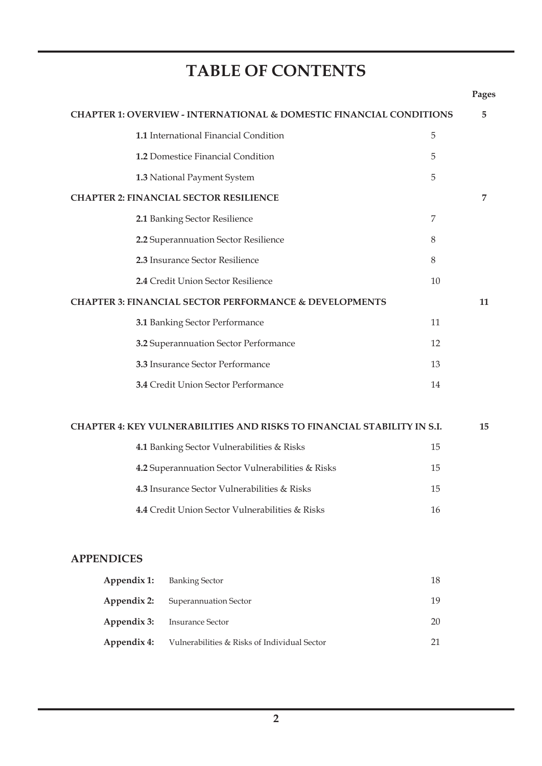# **TABLE OF CONTENTS**

|                   |                                                                                | Pages |
|-------------------|--------------------------------------------------------------------------------|-------|
|                   | <b>CHAPTER 1: OVERVIEW - INTERNATIONAL &amp; DOMESTIC FINANCIAL CONDITIONS</b> | 5     |
|                   | 1.1 International Financial Condition<br>5                                     |       |
|                   | 1.2 Domestice Financial Condition<br>5                                         |       |
|                   | 5<br>1.3 National Payment System                                               |       |
|                   | <b>CHAPTER 2: FINANCIAL SECTOR RESILIENCE</b>                                  | 7     |
|                   | 2.1 Banking Sector Resilience<br>7                                             |       |
|                   | 2.2 Superannuation Sector Resilience<br>8                                      |       |
|                   | 2.3 Insurance Sector Resilience<br>8                                           |       |
|                   | 2.4 Credit Union Sector Resilience<br>10                                       |       |
|                   | <b>CHAPTER 3: FINANCIAL SECTOR PERFORMANCE &amp; DEVELOPMENTS</b>              | 11    |
|                   | 3.1 Banking Sector Performance<br>11                                           |       |
|                   | 3.2 Superannuation Sector Performance<br>12                                    |       |
|                   | 3.3 Insurance Sector Performance<br>13                                         |       |
|                   | 3.4 Credit Union Sector Performance<br>14                                      |       |
|                   | <b>CHAPTER 4: KEY VULNERABILITIES AND RISKS TO FINANCIAL STABILITY IN S.I.</b> | 15    |
|                   | 4.1 Banking Sector Vulnerabilities & Risks<br>15                               |       |
|                   | 4.2 Superannuation Sector Vulnerabilities & Risks<br>15                        |       |
|                   | 4.3 Insurance Sector Vulnerabilities & Risks<br>15                             |       |
|                   | 4.4 Credit Union Sector Vulnerabilities & Risks<br>16                          |       |
| <b>APPENDICES</b> |                                                                                |       |
| Appendix 1:       | 18<br><b>Banking Sector</b>                                                    |       |
| Appendix 2:       | 19<br>Superannuation Sector                                                    |       |
| Appendix 3:       | <b>Insurance Sector</b><br>20                                                  |       |
| Appendix 4:       | Vulnerabilities & Risks of Individual Sector<br>21                             |       |
|                   |                                                                                |       |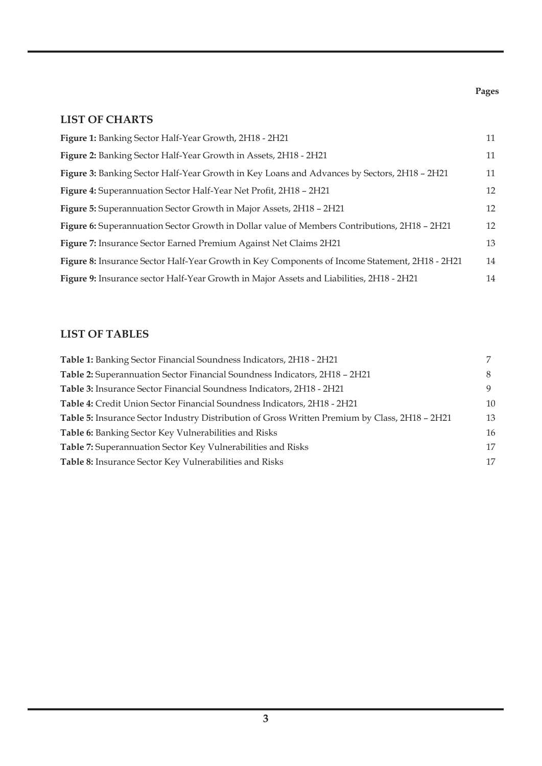# **LIST OF CHARTS**

| Figure 1: Banking Sector Half-Year Growth, 2H18 - 2H21                                         | 11 |
|------------------------------------------------------------------------------------------------|----|
| Figure 2: Banking Sector Half-Year Growth in Assets, 2H18 - 2H21                               | 11 |
| Figure 3: Banking Sector Half-Year Growth in Key Loans and Advances by Sectors, 2H18 - 2H21    | 11 |
| Figure 4: Superannuation Sector Half-Year Net Profit, 2H18 - 2H21                              | 12 |
| Figure 5: Superannuation Sector Growth in Major Assets, 2H18 - 2H21                            | 12 |
| Figure 6: Superannuation Sector Growth in Dollar value of Members Contributions, 2H18 - 2H21   | 12 |
| Figure 7: Insurance Sector Earned Premium Against Net Claims 2H21                              | 13 |
| Figure 8: Insurance Sector Half-Year Growth in Key Components of Income Statement, 2H18 - 2H21 | 14 |
| Figure 9: Insurance sector Half-Year Growth in Major Assets and Liabilities, 2H18 - 2H21       | 14 |

# **LIST OF TABLES**

| Table 1: Banking Sector Financial Soundness Indicators, 2H18 - 2H21                            |    |
|------------------------------------------------------------------------------------------------|----|
| Table 2: Superannuation Sector Financial Soundness Indicators, 2H18 - 2H21                     | 8  |
| <b>Table 3:</b> Insurance Sector Financial Soundness Indicators, 2H18 - 2H21                   | 9  |
| Table 4: Credit Union Sector Financial Soundness Indicators, 2H18 - 2H21                       | 10 |
| Table 5: Insurance Sector Industry Distribution of Gross Written Premium by Class, 2H18 - 2H21 | 13 |
| Table 6: Banking Sector Key Vulnerabilities and Risks                                          | 16 |
| <b>Table 7:</b> Superannuation Sector Key Vulnerabilities and Risks                            | 17 |
| Table 8: Insurance Sector Key Vulnerabilities and Risks                                        | 17 |
|                                                                                                |    |

#### **Pages**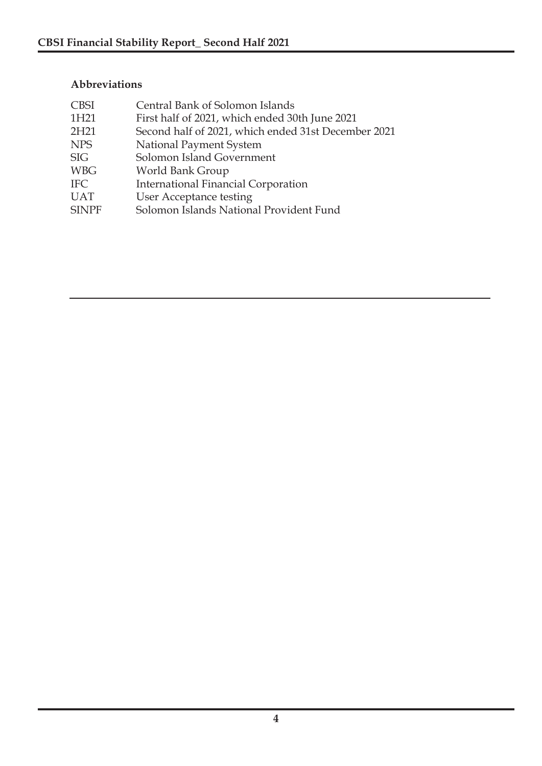### **Abbreviations**

| <b>CBSI</b>      | Central Bank of Solomon Islands                     |
|------------------|-----------------------------------------------------|
| 1H21             | First half of 2021, which ended 30th June 2021      |
| 2H <sub>21</sub> | Second half of 2021, which ended 31st December 2021 |
| <b>NPS</b>       | National Payment System                             |
| <b>SIG</b>       | Solomon Island Government                           |
| <b>WBG</b>       | World Bank Group                                    |
| <b>IFC</b>       | <b>International Financial Corporation</b>          |
| <b>UAT</b>       | <b>User Acceptance testing</b>                      |
| <b>SINPF</b>     | Solomon Islands National Provident Fund             |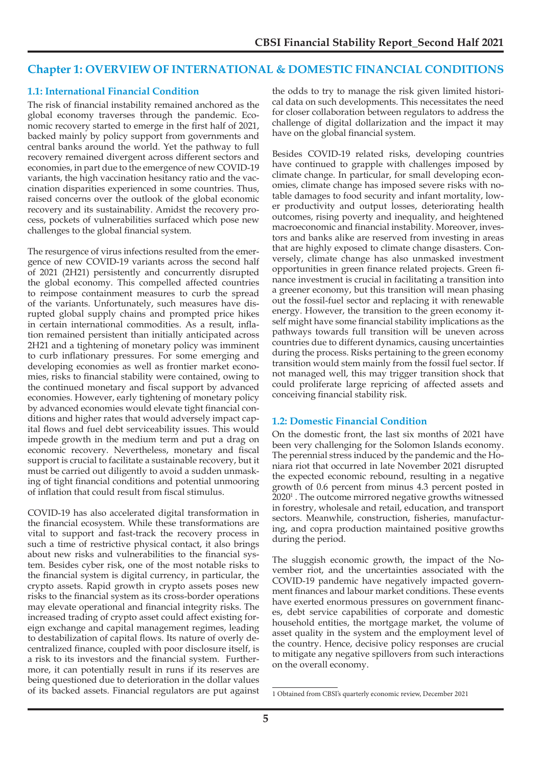#### **Chapter 1: OVERVIEW OF INTERNATIONAL & DOMESTIC FINANCIAL CONDITIONS**

#### **1.1: International Financial Condition**

The risk of financial instability remained anchored as the global economy traverses through the pandemic. Economic recovery started to emerge in the first half of 2021, backed mainly by policy support from governments and central banks around the world. Yet the pathway to full recovery remained divergent across different sectors and economies, in part due to the emergence of new COVID-19 variants, the high vaccination hesitancy ratio and the vaccination disparities experienced in some countries. Thus, raised concerns over the outlook of the global economic recovery and its sustainability. Amidst the recovery process, pockets of vulnerabilities surfaced which pose new challenges to the global financial system.

The resurgence of virus infections resulted from the emergence of new COVID-19 variants across the second half of 2021 (2H21) persistently and concurrently disrupted the global economy. This compelled affected countries to reimpose containment measures to curb the spread of the variants. Unfortunately, such measures have disrupted global supply chains and prompted price hikes in certain international commodities. As a result, inflation remained persistent than initially anticipated across 2H21 and a tightening of monetary policy was imminent to curb inflationary pressures. For some emerging and developing economies as well as frontier market economies, risks to financial stability were contained, owing to the continued monetary and fiscal support by advanced economies. However, early tightening of monetary policy by advanced economies would elevate tight financial conditions and higher rates that would adversely impact capital flows and fuel debt serviceability issues. This would impede growth in the medium term and put a drag on economic recovery. Nevertheless, monetary and fiscal support is crucial to facilitate a sustainable recovery, but it must be carried out diligently to avoid a sudden unmasking of tight financial conditions and potential unmooring of inflation that could result from fiscal stimulus.

COVID-19 has also accelerated digital transformation in the financial ecosystem. While these transformations are vital to support and fast-track the recovery process in such a time of restrictive physical contact, it also brings about new risks and vulnerabilities to the financial system. Besides cyber risk, one of the most notable risks to the financial system is digital currency, in particular, the crypto assets. Rapid growth in crypto assets poses new risks to the financial system as its cross-border operations may elevate operational and financial integrity risks. The increased trading of crypto asset could affect existing foreign exchange and capital management regimes, leading to destabilization of capital flows. Its nature of overly decentralized finance, coupled with poor disclosure itself, is a risk to its investors and the financial system. Furthermore, it can potentially result in runs if its reserves are being questioned due to deterioration in the dollar values of its backed assets. Financial regulators are put against

the odds to try to manage the risk given limited historical data on such developments. This necessitates the need for closer collaboration between regulators to address the challenge of digital dollarization and the impact it may have on the global financial system.

Besides COVID-19 related risks, developing countries have continued to grapple with challenges imposed by climate change. In particular, for small developing economies, climate change has imposed severe risks with notable damages to food security and infant mortality, lower productivity and output losses, deteriorating health outcomes, rising poverty and inequality, and heightened macroeconomic and financial instability. Moreover, investors and banks alike are reserved from investing in areas that are highly exposed to climate change disasters. Conversely, climate change has also unmasked investment opportunities in green finance related projects. Green finance investment is crucial in facilitating a transition into a greener economy, but this transition will mean phasing out the fossil-fuel sector and replacing it with renewable energy. However, the transition to the green economy itself might have some financial stability implications as the pathways towards full transition will be uneven across countries due to different dynamics, causing uncertainties during the process. Risks pertaining to the green economy transition would stem mainly from the fossil fuel sector. If not managed well, this may trigger transition shock that could proliferate large repricing of affected assets and conceiving financial stability risk.

#### **1.2: Domestic Financial Condition**

On the domestic front, the last six months of 2021 have been very challenging for the Solomon Islands economy. The perennial stress induced by the pandemic and the Honiara riot that occurred in late November 2021 disrupted the expected economic rebound, resulting in a negative growth of 0.6 percent from minus 4.3 percent posted in 2020<sup>1</sup> . The outcome mirrored negative growths witnessed in forestry, wholesale and retail, education, and transport sectors. Meanwhile, construction, fisheries, manufacturing, and copra production maintained positive growths during the period.

The sluggish economic growth, the impact of the November riot, and the uncertainties associated with the COVID-19 pandemic have negatively impacted government finances and labour market conditions. These events have exerted enormous pressures on government finances, debt service capabilities of corporate and domestic household entities, the mortgage market, the volume of asset quality in the system and the employment level of the country. Hence, decisive policy responses are crucial to mitigate any negative spillovers from such interactions on the overall economy.

<sup>1</sup> Obtained from CBSI's quarterly economic review, December 2021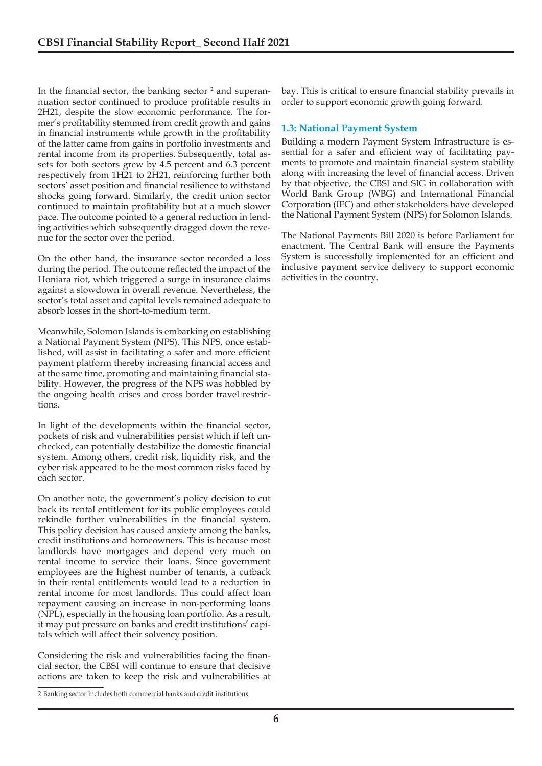In the financial sector, the banking sector  $2$  and superannuation sector continued to produce profitable results in 2H21, despite the slow economic performance. The former's profitability stemmed from credit growth and gains in financial instruments while growth in the profitability of the latter came from gains in portfolio investments and rental income from its properties. Subsequently, total assets for both sectors grew by 4.5 percent and 6.3 percent respectively from 1H21 to 2H21, reinforcing further both sectors' asset position and financial resilience to withstand shocks going forward. Similarly, the credit union sector continued to maintain profitability but at a much slower pace. The outcome pointed to a general reduction in lending activities which subsequently dragged down the revenue for the sector over the period.

On the other hand, the insurance sector recorded a loss during the period. The outcome reflected the impact of the Honiara riot, which triggered a surge in insurance claims against a slowdown in overall revenue. Nevertheless, the sector's total asset and capital levels remained adequate to absorb losses in the short-to-medium term.

Meanwhile, Solomon Islands is embarking on establishing a National Payment System (NPS). This NPS, once established, will assist in facilitating a safer and more efficient payment platform thereby increasing financial access and at the same time, promoting and maintaining financial stability. However, the progress of the NPS was hobbled by the ongoing health crises and cross border travel restrictions.

In light of the developments within the financial sector, pockets of risk and vulnerabilities persist which if left unchecked, can potentially destabilize the domestic financial system. Among others, credit risk, liquidity risk, and the cyber risk appeared to be the most common risks faced by each sector.

On another note, the government's policy decision to cut back its rental entitlement for its public employees could rekindle further vulnerabilities in the financial system. This policy decision has caused anxiety among the banks, credit institutions and homeowners. This is because most landlords have mortgages and depend very much on rental income to service their loans. Since government employees are the highest number of tenants, a cutback in their rental entitlements would lead to a reduction in rental income for most landlords. This could affect loan repayment causing an increase in non-performing loans (NPL), especially in the housing loan portfolio. As a result, it may put pressure on banks and credit institutions' capitals which will affect their solvency position.

Considering the risk and vulnerabilities facing the financial sector, the CBSI will continue to ensure that decisive actions are taken to keep the risk and vulnerabilities at bay. This is critical to ensure financial stability prevails in order to support economic growth going forward.

#### **1.3: National Payment System**

Building a modern Payment System Infrastructure is essential for a safer and efficient way of facilitating payments to promote and maintain financial system stability along with increasing the level of financial access. Driven by that objective, the CBSI and SIG in collaboration with World Bank Group (WBG) and International Financial Corporation (IFC) and other stakeholders have developed the National Payment System (NPS) for Solomon Islands.

The National Payments Bill 2020 is before Parliament for enactment. The Central Bank will ensure the Payments System is successfully implemented for an efficient and inclusive payment service delivery to support economic activities in the country.

<sup>2</sup> Banking sector includes both commercial banks and credit institutions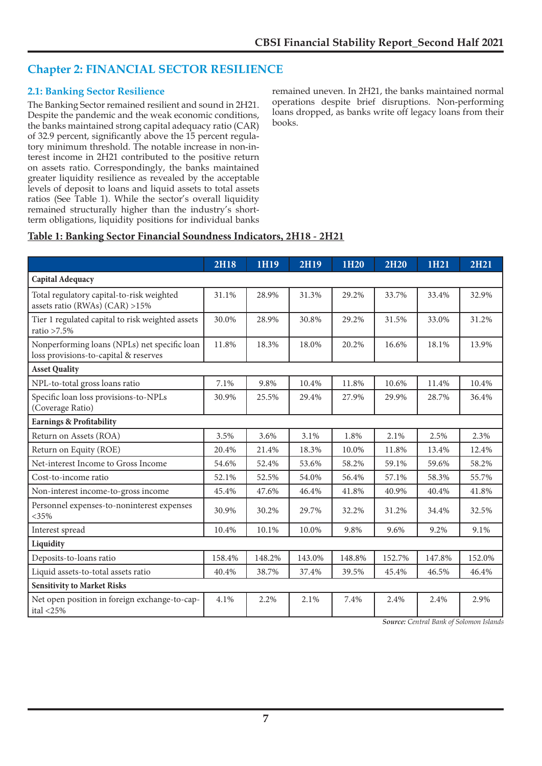## **Chapter 2: FINANCIAL SECTOR RESILIENCE**

#### **2.1: Banking Sector Resilience**

The Banking Sector remained resilient and sound in 2H21. Despite the pandemic and the weak economic conditions, the banks maintained strong capital adequacy ratio (CAR) of 32.9 percent, significantly above the 15 percent regulatory minimum threshold. The notable increase in non-interest income in 2H21 contributed to the positive return on assets ratio. Correspondingly, the banks maintained greater liquidity resilience as revealed by the acceptable levels of deposit to loans and liquid assets to total assets ratios (See Table 1). While the sector's overall liquidity remained structurally higher than the industry's shortterm obligations, liquidity positions for individual banks

remained uneven. In 2H21, the banks maintained normal operations despite brief disruptions. Non-performing loans dropped, as banks write off legacy loans from their books.

### **Table 1: Banking Sector Financial Soundness Indicators, 2H18 - 2H21**

|                                                                                       | <b>2H18</b> | 1H19   | <b>2H19</b> | 1H20   | <b>2H20</b> | 1H21   | <b>2H21</b> |
|---------------------------------------------------------------------------------------|-------------|--------|-------------|--------|-------------|--------|-------------|
| Capital Adequacy                                                                      |             |        |             |        |             |        |             |
| Total regulatory capital-to-risk weighted<br>assets ratio (RWAs) $(CAR) > 15\%$       | 31.1%       | 28.9%  | 31.3%       | 29.2%  | 33.7%       | 33.4%  | 32.9%       |
| Tier 1 regulated capital to risk weighted assets<br>ratio $>7.5\%$                    | 30.0%       | 28.9%  | 30.8%       | 29.2%  | 31.5%       | 33.0%  | 31.2%       |
| Nonperforming loans (NPLs) net specific loan<br>loss provisions-to-capital & reserves | 11.8%       | 18.3%  | 18.0%       | 20.2%  | 16.6%       | 18.1%  | 13.9%       |
| <b>Asset Quality</b>                                                                  |             |        |             |        |             |        |             |
| NPL-to-total gross loans ratio                                                        | 7.1%        | 9.8%   | 10.4%       | 11.8%  | 10.6%       | 11.4%  | 10.4%       |
| Specific loan loss provisions-to-NPLs<br>(Coverage Ratio)                             | 30.9%       | 25.5%  | 29.4%       | 27.9%  | 29.9%       | 28.7%  | 36.4%       |
| <b>Earnings &amp; Profitability</b>                                                   |             |        |             |        |             |        |             |
| Return on Assets (ROA)                                                                | 3.5%        | 3.6%   | 3.1%        | 1.8%   | 2.1%        | 2.5%   | 2.3%        |
| Return on Equity (ROE)                                                                | 20.4%       | 21.4%  | 18.3%       | 10.0%  | 11.8%       | 13.4%  | 12.4%       |
| Net-interest Income to Gross Income                                                   | 54.6%       | 52.4%  | 53.6%       | 58.2%  | 59.1%       | 59.6%  | 58.2%       |
| Cost-to-income ratio                                                                  | 52.1%       | 52.5%  | 54.0%       | 56.4%  | 57.1%       | 58.3%  | 55.7%       |
| Non-interest income-to-gross income                                                   | 45.4%       | 47.6%  | 46.4%       | 41.8%  | 40.9%       | 40.4%  | 41.8%       |
| Personnel expenses-to-noninterest expenses<br>$<35\%$                                 | 30.9%       | 30.2%  | 29.7%       | 32.2%  | 31.2%       | 34.4%  | 32.5%       |
| Interest spread                                                                       | 10.4%       | 10.1%  | 10.0%       | 9.8%   | 9.6%        | 9.2%   | 9.1%        |
| Liquidity                                                                             |             |        |             |        |             |        |             |
| Deposits-to-loans ratio                                                               | 158.4%      | 148.2% | 143.0%      | 148.8% | 152.7%      | 147.8% | 152.0%      |
| Liquid assets-to-total assets ratio                                                   | 40.4%       | 38.7%  | 37.4%       | 39.5%  | 45.4%       | 46.5%  | 46.4%       |
| <b>Sensitivity to Market Risks</b>                                                    |             |        |             |        |             |        |             |
| Net open position in foreign exchange-to-cap-<br>ital $\langle 25\%$                  | 4.1%        | 2.2%   | 2.1%        | 7.4%   | 2.4%        | 2.4%   | 2.9%        |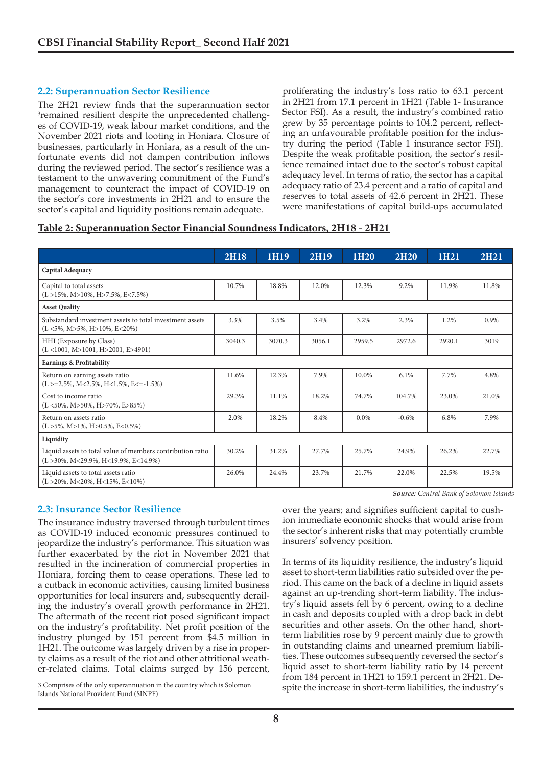#### **2.2: Superannuation Sector Resilience**

The 2H21 review finds that the superannuation sector <sup>3</sup>remained resilient despite the unprecedented challenges of COVID-19, weak labour market conditions, and the November 2021 riots and looting in Honiara. Closure of businesses, particularly in Honiara, as a result of the unfortunate events did not dampen contribution inflows during the reviewed period. The sector's resilience was a testament to the unwavering commitment of the Fund's management to counteract the impact of COVID-19 on the sector's core investments in 2H21 and to ensure the sector's capital and liquidity positions remain adequate.

proliferating the industry's loss ratio to 63.1 percent in 2H21 from 17.1 percent in 1H21 (Table 1- Insurance Sector FSI). As a result, the industry's combined ratio grew by 35 percentage points to 104.2 percent, reflecting an unfavourable profitable position for the industry during the period (Table 1 insurance sector FSI). Despite the weak profitable position, the sector's resilience remained intact due to the sector's robust capital adequacy level. In terms of ratio, the sector has a capital adequacy ratio of 23.4 percent and a ratio of capital and reserves to total assets of 42.6 percent in 2H21. These were manifestations of capital build-ups accumulated

#### **Table 2: Superannuation Sector Financial Soundness Indicators, 2H18 - 2H21**

|                                                                                                                | 2H18   | 1H19   | <b>2H19</b> | 1H20    | <b>2H20</b> | 1H21   | <b>2H21</b> |
|----------------------------------------------------------------------------------------------------------------|--------|--------|-------------|---------|-------------|--------|-------------|
| Capital Adequacy                                                                                               |        |        |             |         |             |        |             |
| Capital to total assets<br>$(L > 15\%, M > 10\%, H > 7.5\%, E < 7.5\%)$                                        | 10.7%  | 18.8%  | 12.0%       | 12.3%   | 9.2%        | 11.9%  | 11.8%       |
| <b>Asset Quality</b>                                                                                           |        |        |             |         |             |        |             |
| Substandard investment assets to total investment assets<br>$(L \le 5\%, M > 5\%, H > 10\%, E < 20\%)$         | 3.3%   | 3.5%   | 3.4%        | 3.2%    | 2.3%        | 1.2%   | 0.9%        |
| HHI (Exposure by Class)<br>$(L < 1001, M > 1001, H > 2001, E > 4901)$                                          | 3040.3 | 3070.3 | 3056.1      | 2959.5  | 2972.6      | 2920.1 | 3019        |
| <b>Earnings &amp; Profitability</b>                                                                            |        |        |             |         |             |        |             |
| Return on earning assets ratio<br>$(L > = 2.5\%, M < 2.5\%, H < 1.5\%, E < = -1.5\%)$                          | 11.6%  | 12.3%  | 7.9%        | 10.0%   | 6.1%        | 7.7%   | 4.8%        |
| Cost to income ratio<br>$(L \le 50\%, M > 50\%, H > 70\%, E > 85\%)$                                           | 29.3%  | 11.1%  | 18.2%       | 74.7%   | 104.7%      | 23.0%  | 21.0%       |
| Return on assets ratio<br>$(L > 5\%, M > 1\%, H > 0.5\%, E < 0.5\%)$                                           | 2.0%   | 18.2%  | 8.4%        | $0.0\%$ | $-0.6%$     | 6.8%   | 7.9%        |
| Liquidity                                                                                                      |        |        |             |         |             |        |             |
| Liquid assets to total value of members contribution ratio<br>$(L > 30\%, M < 29.9\%, H < 19.9\%, E < 14.9\%)$ | 30.2%  | 31.2%  | 27.7%       | 25.7%   | 24.9%       | 26.2%  | 22.7%       |
| Liquid assets to total assets ratio<br>$(L > 20\%, M < 20\%, H < 15\%, E < 10\%)$                              | 26.0%  | 24.4%  | 23.7%       | 21.7%   | 22.0%       | 22.5%  | 19.5%       |

#### **2.3: Insurance Sector Resilience**

The insurance industry traversed through turbulent times as COVID-19 induced economic pressures continued to jeopardize the industry's performance. This situation was further exacerbated by the riot in November 2021 that resulted in the incineration of commercial properties in Honiara, forcing them to cease operations. These led to a cutback in economic activities, causing limited business opportunities for local insurers and, subsequently derailing the industry's overall growth performance in 2H21. The aftermath of the recent riot posed significant impact on the industry's profitability. Net profit position of the industry plunged by 151 percent from \$4.5 million in 1H21. The outcome was largely driven by a rise in property claims as a result of the riot and other attritional weather-related claims. Total claims surged by 156 percent,

*Source: Central Bank of Solomon Islands*

over the years; and signifies sufficient capital to cushion immediate economic shocks that would arise from the sector's inherent risks that may potentially crumble insurers' solvency position.

In terms of its liquidity resilience, the industry's liquid asset to short-term liabilities ratio subsided over the period. This came on the back of a decline in liquid assets against an up-trending short-term liability. The industry's liquid assets fell by 6 percent, owing to a decline in cash and deposits coupled with a drop back in debt securities and other assets. On the other hand, shortterm liabilities rose by 9 percent mainly due to growth in outstanding claims and unearned premium liabilities. These outcomes subsequently reversed the sector's liquid asset to short-term liability ratio by 14 percent from 184 percent in 1H21 to 159.1 percent in 2H21. Despite the increase in short-term liabilities, the industry's

<sup>3</sup> Comprises of the only superannuation in the country which is Solomon Islands National Provident Fund (SINPF)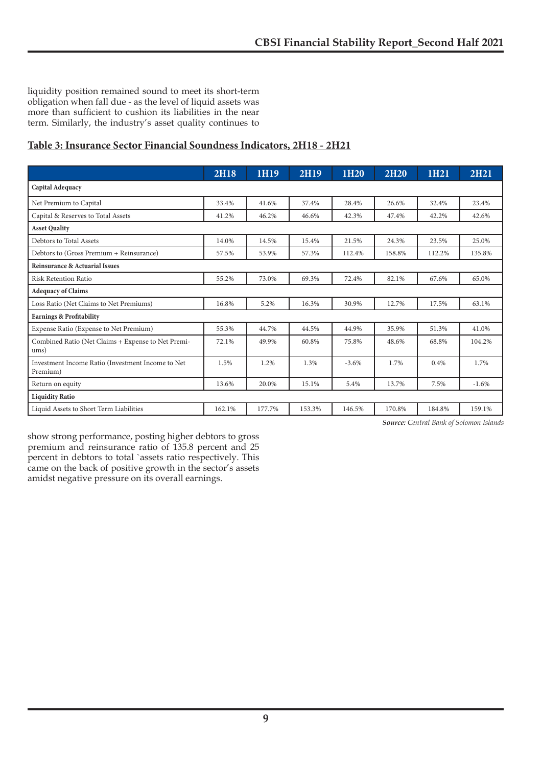liquidity position remained sound to meet its short-term obligation when fall due - as the level of liquid assets was more than sufficient to cushion its liabilities in the near term. Similarly, the industry's asset quality continues to

### **Table 3: Insurance Sector Financial Soundness Indicators, 2H18 - 2H21**

|                                                               | <b>2H18</b> | 1H19   | 2H19   | 1H20    | <b>2H20</b> | 1H21   | <b>2H21</b> |  |  |
|---------------------------------------------------------------|-------------|--------|--------|---------|-------------|--------|-------------|--|--|
| Capital Adequacy                                              |             |        |        |         |             |        |             |  |  |
| Net Premium to Capital                                        | 33.4%       | 41.6%  | 37.4%  | 28.4%   | 26.6%       | 32.4%  | 23.4%       |  |  |
| Capital & Reserves to Total Assets                            | 41.2%       | 46.2%  | 46.6%  | 42.3%   | 47.4%       | 42.2%  | 42.6%       |  |  |
| <b>Asset Quality</b>                                          |             |        |        |         |             |        |             |  |  |
| Debtors to Total Assets                                       | 14.0%       | 14.5%  | 15.4%  | 21.5%   | 24.3%       | 23.5%  | 25.0%       |  |  |
| Debtors to (Gross Premium + Reinsurance)                      | 57.5%       | 53.9%  | 57.3%  | 112.4%  | 158.8%      | 112.2% | 135.8%      |  |  |
| Reinsurance & Actuarial Issues                                |             |        |        |         |             |        |             |  |  |
| Risk Retention Ratio                                          | 55.2%       | 73.0%  | 69.3%  | 72.4%   | 82.1%       | 67.6%  | 65.0%       |  |  |
| <b>Adequacy of Claims</b>                                     |             |        |        |         |             |        |             |  |  |
| Loss Ratio (Net Claims to Net Premiums)                       | 16.8%       | 5.2%   | 16.3%  | 30.9%   | 12.7%       | 17.5%  | 63.1%       |  |  |
| <b>Earnings &amp; Profitability</b>                           |             |        |        |         |             |        |             |  |  |
| Expense Ratio (Expense to Net Premium)                        | 55.3%       | 44.7%  | 44.5%  | 44.9%   | 35.9%       | 51.3%  | 41.0%       |  |  |
| Combined Ratio (Net Claims + Expense to Net Premi-<br>ums)    | 72.1%       | 49.9%  | 60.8%  | 75.8%   | 48.6%       | 68.8%  | 104.2%      |  |  |
| Investment Income Ratio (Investment Income to Net<br>Premium) | 1.5%        | 1.2%   | 1.3%   | $-3.6%$ | 1.7%        | 0.4%   | 1.7%        |  |  |
| Return on equity                                              | 13.6%       | 20.0%  | 15.1%  | 5.4%    | 13.7%       | 7.5%   | $-1.6%$     |  |  |
| <b>Liquidity Ratio</b>                                        |             |        |        |         |             |        |             |  |  |
| Liquid Assets to Short Term Liabilities                       | 162.1%      | 177.7% | 153.3% | 146.5%  | 170.8%      | 184.8% | 159.1%      |  |  |

*Source: Central Bank of Solomon Islands*

show strong performance, posting higher debtors to gross premium and reinsurance ratio of 135.8 percent and 25 percent in debtors to total `assets ratio respectively. This came on the back of positive growth in the sector's assets amidst negative pressure on its overall earnings.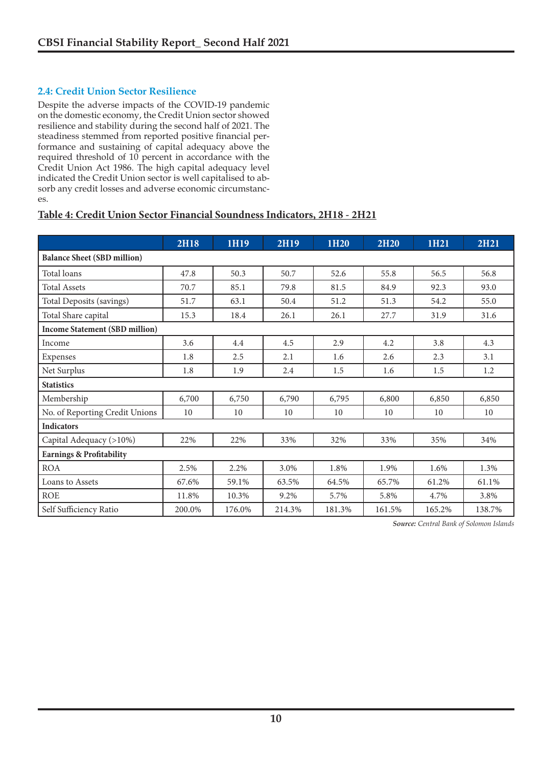#### **2.4: Credit Union Sector Resilience**

Despite the adverse impacts of the COVID-19 pandemic on the domestic economy, the Credit Union sector showed resilience and stability during the second half of 2021. The steadiness stemmed from reported positive financial performance and sustaining of capital adequacy above the required threshold of 10 percent in accordance with the Credit Union Act 1986. The high capital adequacy level indicated the Credit Union sector is well capitalised to absorb any credit losses and adverse economic circumstances.

#### **Table 4: Credit Union Sector Financial Soundness Indicators, 2H18 - 2H21**

|                                       | <b>2H18</b> | 1H19   | <b>2H19</b> | 1H <sub>20</sub> | <b>2H20</b> | 1H21   | <b>2H21</b> |  |  |  |  |  |
|---------------------------------------|-------------|--------|-------------|------------------|-------------|--------|-------------|--|--|--|--|--|
| <b>Balance Sheet (SBD million)</b>    |             |        |             |                  |             |        |             |  |  |  |  |  |
| Total loans                           | 47.8        | 50.3   | 50.7        | 52.6             | 55.8        | 56.5   | 56.8        |  |  |  |  |  |
| <b>Total Assets</b>                   | 70.7        | 85.1   | 79.8        | 81.5             | 84.9        | 92.3   | 93.0        |  |  |  |  |  |
| Total Deposits (savings)              | 51.7        | 63.1   | 50.4        | 51.2             | 51.3        | 54.2   | 55.0        |  |  |  |  |  |
| Total Share capital                   | 15.3        | 18.4   | 26.1        | 26.1             | 27.7        | 31.9   | 31.6        |  |  |  |  |  |
| <b>Income Statement (SBD million)</b> |             |        |             |                  |             |        |             |  |  |  |  |  |
| Income                                | 3.6         | 4.4    | 4.5         | 2.9              | 4.2         | 3.8    | 4.3         |  |  |  |  |  |
| Expenses                              | 1.8         | 2.5    | 2.1         | 1.6              | 2.6         | 2.3    | 3.1         |  |  |  |  |  |
| Net Surplus                           | 1.8         | 1.9    | 2.4         | 1.5              | 1.6         | 1.5    | 1.2         |  |  |  |  |  |
| <b>Statistics</b>                     |             |        |             |                  |             |        |             |  |  |  |  |  |
| Membership                            | 6,700       | 6,750  | 6,790       | 6,795            | 6,800       | 6,850  | 6,850       |  |  |  |  |  |
| No. of Reporting Credit Unions        | 10          | 10     | 10          | 10               | 10          | 10     | 10          |  |  |  |  |  |
| <b>Indicators</b>                     |             |        |             |                  |             |        |             |  |  |  |  |  |
| Capital Adequacy (>10%)               | 22%         | 22%    | 33%         | 32%              | 33%         | 35%    | 34%         |  |  |  |  |  |
| <b>Earnings &amp; Profitability</b>   |             |        |             |                  |             |        |             |  |  |  |  |  |
| <b>ROA</b>                            | 2.5%        | 2.2%   | 3.0%        | 1.8%             | 1.9%        | 1.6%   | 1.3%        |  |  |  |  |  |
| Loans to Assets                       | 67.6%       | 59.1%  | 63.5%       | 64.5%            | 65.7%       | 61.2%  | 61.1%       |  |  |  |  |  |
| <b>ROE</b>                            | 11.8%       | 10.3%  | 9.2%        | 5.7%             | 5.8%        | 4.7%   | 3.8%        |  |  |  |  |  |
| Self Sufficiency Ratio                | 200.0%      | 176.0% | 214.3%      | 181.3%           | 161.5%      | 165.2% | 138.7%      |  |  |  |  |  |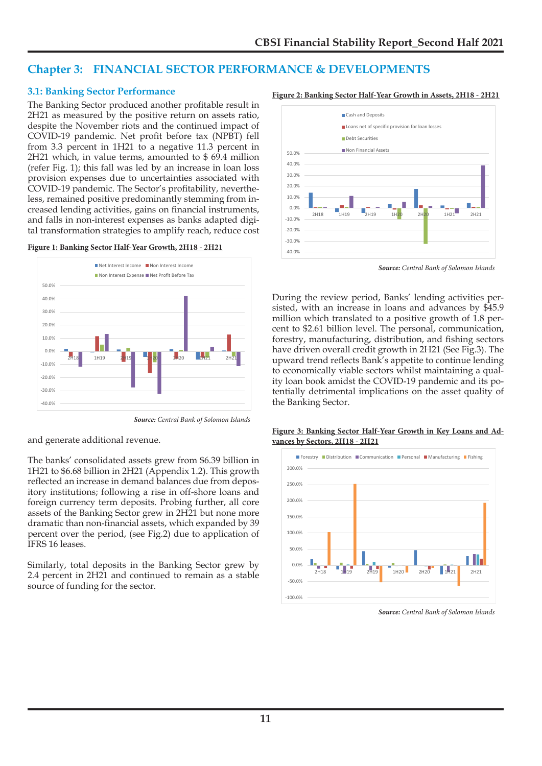### **Chapter 3: FINANCIAL SECTOR PERFORMANCE & DEVELOPMENTS**

#### **3.1: Banking Sector Performance**

The Banking Sector produced another profitable result in 2H21 as measured by the positive return on assets ratio, despite the November riots and the continued impact of COVID-19 pandemic. Net profit before tax (NPBT) fell from 3.3 percent in 1H21 to a negative 11.3 percent in 2H21 which, in value terms, amounted to \$ 69.4 million (refer Fig. 1); this fall was led by an increase in loan loss provision expenses due to uncertainties associated with COVID-19 pandemic. The Sector's profitability, nevertheless, remained positive predominantly stemming from increased lending activities, gains on financial instruments, and falls in non-interest expenses as banks adapted digital transformation strategies to amplify reach, reduce cost





*Source: Central Bank of Solomon Islands*

and generate additional revenue.

The banks' consolidated assets grew from \$6.39 billion in 1H21 to \$6.68 billion in 2H21 (Appendix 1.2). This growth reflected an increase in demand balances due from depository institutions; following a rise in off-shore loans and foreign currency term deposits. Probing further, all core assets of the Banking Sector grew in 2H21 but none more dramatic than non-financial assets, which expanded by 39 percent over the period, (see Fig.2) due to application of IFRS 16 leases.

Similarly, total deposits in the Banking Sector grew by 2.4 percent in 2H21 and continued to remain as a stable source of funding for the sector.

#### **Figure 2: Banking Sector Half-Year Growth in Assets, 2H18 - 2H21**



*Source: Central Bank of Solomon Islands*

During the review period, Banks' lending activities persisted, with an increase in loans and advances by \$45.9 million which translated to a positive growth of 1.8 percent to \$2.61 billion level. The personal, communication, forestry, manufacturing, distribution, and fishing sectors have driven overall credit growth in 2H21 (See Fig.3). The upward trend reflects Bank's appetite to continue lending to economically viable sectors whilst maintaining a quality loan book amidst the COVID-19 pandemic and its potentially detrimental implications on the asset quality of



**Figure 3: Banking Sector Half-Year Growth in Key Loans and Advances by Sectors, 2H18 - 2H21**

*Source: Central Bank of Solomon Islands*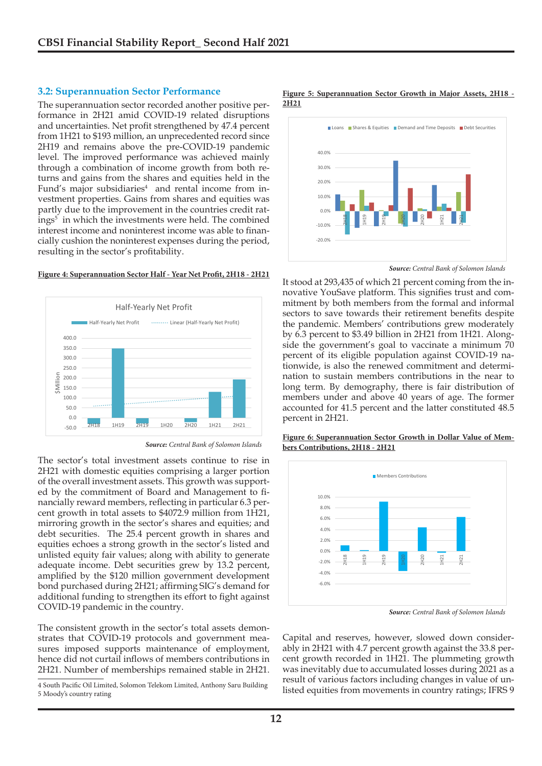#### **3.2: Superannuation Sector Performance**

The superannuation sector recorded another positive performance in 2H21 amid COVID-19 related disruptions and uncertainties. Net profit strengthened by 47.4 percent from 1H21 to \$193 million, an unprecedented record since 2H19 and remains above the pre-COVID-19 pandemic level. The improved performance was achieved mainly through a combination of income growth from both returns and gains from the shares and equities held in the Fund's major subsidiaries<sup>4</sup> and rental income from investment properties. Gains from shares and equities was partly due to the improvement in the countries credit ratings<sup>5</sup> in which the investments were held. The combined interest income and noninterest income was able to financially cushion the noninterest expenses during the period, resulting in the sector's profitability.

#### **Figure 4: Superannuation Sector Half - Year Net Profit, 2H18 - 2H21**



*Source: Central Bank of Solomon Islands*

The sector's total investment assets continue to rise in 2H21 with domestic equities comprising a larger portion of the overall investment assets. This growth was supported by the commitment of Board and Management to financially reward members, reflecting in particular 6.3 percent growth in total assets to \$4072.9 million from 1H21, mirroring growth in the sector's shares and equities; and debt securities. The 25.4 percent growth in shares and equities echoes a strong growth in the sector's listed and unlisted equity fair values; along with ability to generate adequate income. Debt securities grew by 13.2 percent, amplified by the \$120 million government development bond purchased during 2H21; affirming SIG's demand for additional funding to strengthen its effort to fight against COVID-19 pandemic in the country.

The consistent growth in the sector's total assets demonstrates that COVID-19 protocols and government measures imposed supports maintenance of employment, hence did not curtail inflows of members contributions in 2H21. Number of memberships remained stable in 2H21.

4 South Pacific Oil Limited, Solomon Telekom Limited, Anthony Saru Building 5 Moody's country rating

**Figure 5: Superannuation Sector Growth in Major Assets, 2H18 - 2H21**



*Source: Central Bank of Solomon Islands*

It stood at 293,435 of which 21 percent coming from the innovative YouSave platform. This signifies trust and commitment by both members from the formal and informal sectors to save towards their retirement benefits despite the pandemic. Members' contributions grew moderately by 6.3 percent to \$3.49 billion in 2H21 from 1H21. Alongside the government's goal to vaccinate a minimum 70 percent of its eligible population against COVID-19 nationwide, is also the renewed commitment and determination to sustain members contributions in the near to long term. By demography, there is fair distribution of members under and above 40 years of age. The former accounted for 41.5 percent and the latter constituted 48.5 percent in 2H21.

**Figure 6: Superannuation Sector Growth in Dollar Value of Mem-**

**bers Contributions, 2H18 - 2H21**



*Source: Central Bank of Solomon Islands*

Capital and reserves, however, slowed down considerably in 2H21 with 4.7 percent growth against the 33.8 percent growth recorded in 1H21. The plummeting growth was inevitably due to accumulated losses during 2021 as a result of various factors including changes in value of unlisted equities from movements in country ratings; IFRS 9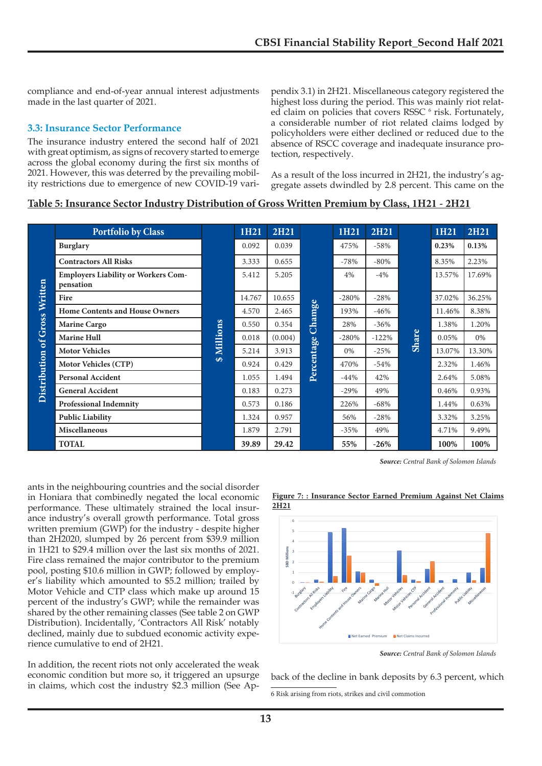compliance and end-of-year annual interest adjustments made in the last quarter of 2021.

#### **3.3: Insurance Sector Performance**

The insurance industry entered the second half of 2021 with great optimism, as signs of recovery started to emerge across the global economy during the first six months of 2021. However, this was deterred by the prevailing mobility restrictions due to emergence of new COVID-19 varipendix 3.1) in 2H21. Miscellaneous category registered the highest loss during the period. This was mainly riot related claim on policies that covers RSSC<sup>6</sup> risk. Fortunately, a considerable number of riot related claims lodged by policyholders were either declined or reduced due to the absence of RSCC coverage and inadequate insurance protection, respectively.

As a result of the loss incurred in 2H21, the industry's aggregate assets dwindled by 2.8 percent. This came on the

#### **Table 5: Insurance Sector Industry Distribution of Gross Written Premium by Class, 1H21 - 2H21**

|                     | <b>Portfolio by Class</b>                               |          | 1H21   | <b>2H21</b> |            | 1H21    | <b>2H21</b> |       | 1H21   | 2H21   |
|---------------------|---------------------------------------------------------|----------|--------|-------------|------------|---------|-------------|-------|--------|--------|
|                     | <b>Burglary</b>                                         |          | 0.092  | 0.039       |            | 475%    | $-58%$      |       | 0.23%  | 0.13%  |
|                     | <b>Contractors All Risks</b>                            |          | 3.333  | 0.655       |            | $-78%$  | $-80%$      |       | 8.35%  | 2.23%  |
|                     | <b>Employers Liability or Workers Com-</b><br>pensation |          | 5.412  | 5.205       |            | 4%      | $-4%$       | Share | 13.57% | 17.69% |
| Written             | Fire                                                    |          | 14.767 | 10.655      |            | $-280%$ | $-28%$      |       | 37.02% | 36.25% |
|                     | <b>Home Contents and House Owners</b>                   |          | 4.570  | 2.465       | Chamge     | 193%    | $-46%$      |       | 11.46% | 8.38%  |
|                     | <b>Marine Cargo</b>                                     |          | 0.550  | 0.354       |            | 28%     | $-36%$      |       | 1.38%  | 1.20%  |
| of Gross            | <b>Marine Hull</b>                                      | Millions | 0.018  | (0.004)     |            | $-280%$ | $-122%$     |       | 0.05%  | 0%     |
|                     | <b>Motor Vehicles</b>                                   |          | 5.214  | 3.913       |            | 0%      | $-25%$      |       | 13.07% | 13.30% |
| <b>Distribution</b> | <b>Motor Vehicles (CTP)</b>                             | $\Theta$ | 0.924  | 0.429       | Percentage | 470%    | $-54%$      |       | 2.32%  | 1.46%  |
|                     | <b>Personal Accident</b>                                |          | 1.055  | 1.494       |            | $-44%$  | 42%         |       | 2.64%  | 5.08%  |
|                     | <b>General Accident</b>                                 |          | 0.183  | 0.273       |            | $-29%$  | 49%         |       | 0.46%  | 0.93%  |
|                     | <b>Professional Indemnity</b>                           |          | 0.573  | 0.186       |            | 226%    | $-68%$      |       | 1.44%  | 0.63%  |
|                     | <b>Public Liability</b>                                 |          | 1.324  | 0.957       |            | 56%     | $-28%$      |       | 3.32%  | 3.25%  |
|                     | <b>Miscellaneous</b>                                    |          | 1.879  | 2.791       |            | $-35%$  | 49%         |       | 4.71%  | 9.49%  |
|                     | <b>TOTAL</b>                                            |          | 39.89  | 29.42       |            | 55%     | $-26%$      |       | 100%   | 100%   |

*Source: Central Bank of Solomon Islands*

ants in the neighbouring countries and the social disorder in Honiara that combinedly negated the local economic performance. These ultimately strained the local insurance industry's overall growth performance. Total gross written premium (GWP) for the industry - despite higher than 2H2020, slumped by 26 percent from \$39.9 million in 1H21 to \$29.4 million over the last six months of 2021. Fire class remained the major contributor to the premium pool, posting \$10.6 million in GWP; followed by employer's liability which amounted to \$5.2 million; trailed by Motor Vehicle and CTP class which make up around 15 percent of the industry's GWP; while the remainder was shared by the other remaining classes (See table 2 on GWP Distribution). Incidentally, 'Contractors All Risk' notably declined, mainly due to subdued economic activity experience cumulative to end of 2H21.

In addition, the recent riots not only accelerated the weak economic condition but more so, it triggered an upsurge in claims, which cost the industry \$2.3 million (See Ap-

**Figure 7: : Insurance Sector Earned Premium Against Net Claims 2H21**



*Source: Central Bank of Solomon Islands*

back of the decline in bank deposits by 6.3 percent, which

6 Risk arising from riots, strikes and civil commotion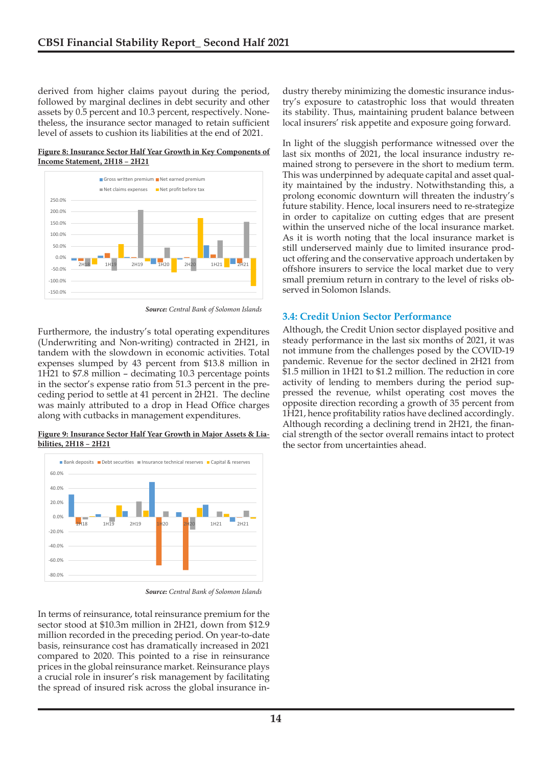derived from higher claims payout during the period, followed by marginal declines in debt security and other assets by 0.5 percent and 10.3 percent, respectively. Nonetheless, the insurance sector managed to retain sufficient level of assets to cushion its liabilities at the end of 2021.

**Figure 8: Insurance Sector Half Year Growth in Key Components of Income Statement, 2H18 – 2H21**



*Source: Central Bank of Solomon Islands*

Furthermore, the industry's total operating expenditures (Underwriting and Non-writing) contracted in 2H21, in tandem with the slowdown in economic activities. Total expenses slumped by 43 percent from \$13.8 million in 1H21 to \$7.8 million – decimating 10.3 percentage points in the sector's expense ratio from 51.3 percent in the preceding period to settle at 41 percent in 2H21. The decline was mainly attributed to a drop in Head Office charges along with cutbacks in management expenditures.

**Figure 9: Insurance Sector Half Year Growth in Major Assets & Liabilities, 2H18 – 2H21**



*Source: Central Bank of Solomon Islands*

In terms of reinsurance, total reinsurance premium for the sector stood at \$10.3m million in 2H21, down from \$12.9 million recorded in the preceding period. On year-to-date basis, reinsurance cost has dramatically increased in 2021 compared to 2020. This pointed to a rise in reinsurance prices in the global reinsurance market. Reinsurance plays a crucial role in insurer's risk management by facilitating the spread of insured risk across the global insurance industry thereby minimizing the domestic insurance industry's exposure to catastrophic loss that would threaten its stability. Thus, maintaining prudent balance between local insurers' risk appetite and exposure going forward.

In light of the sluggish performance witnessed over the last six months of 2021, the local insurance industry remained strong to persevere in the short to medium term. This was underpinned by adequate capital and asset quality maintained by the industry. Notwithstanding this, a prolong economic downturn will threaten the industry's future stability. Hence, local insurers need to re-strategize in order to capitalize on cutting edges that are present within the unserved niche of the local insurance market. As it is worth noting that the local insurance market is still underserved mainly due to limited insurance product offering and the conservative approach undertaken by offshore insurers to service the local market due to very small premium return in contrary to the level of risks observed in Solomon Islands.

#### **3.4: Credit Union Sector Performance**

Although, the Credit Union sector displayed positive and steady performance in the last six months of 2021, it was not immune from the challenges posed by the COVID-19 pandemic. Revenue for the sector declined in 2H21 from \$1.5 million in 1H21 to \$1.2 million. The reduction in core activity of lending to members during the period suppressed the revenue, whilst operating cost moves the opposite direction recording a growth of 35 percent from 1H21, hence profitability ratios have declined accordingly. Although recording a declining trend in 2H21, the financial strength of the sector overall remains intact to protect the sector from uncertainties ahead.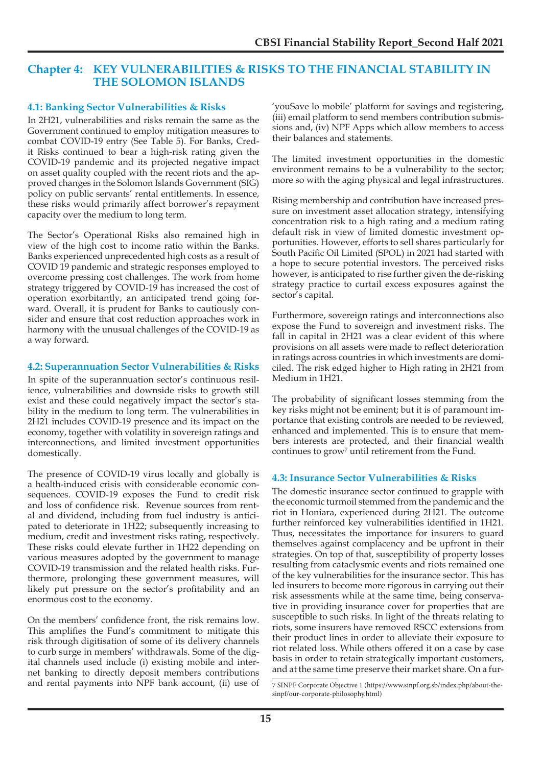### **Chapter 4: KEY VULNERABILITIES & RISKS TO THE FINANCIAL STABILITY IN THE SOLOMON ISLANDS**

#### **4.1: Banking Sector Vulnerabilities & Risks**

In 2H21, vulnerabilities and risks remain the same as the Government continued to employ mitigation measures to combat COVID-19 entry (See Table 5). For Banks, Credit Risks continued to bear a high-risk rating given the COVID-19 pandemic and its projected negative impact on asset quality coupled with the recent riots and the approved changes in the Solomon Islands Government (SIG) policy on public servants' rental entitlements. In essence, these risks would primarily affect borrower's repayment capacity over the medium to long term.

The Sector's Operational Risks also remained high in view of the high cost to income ratio within the Banks. Banks experienced unprecedented high costs as a result of COVID 19 pandemic and strategic responses employed to overcome pressing cost challenges. The work from home strategy triggered by COVID-19 has increased the cost of operation exorbitantly, an anticipated trend going forward. Overall, it is prudent for Banks to cautiously consider and ensure that cost reduction approaches work in harmony with the unusual challenges of the COVID-19 as a way forward.

#### **4.2: Superannuation Sector Vulnerabilities & Risks**

In spite of the superannuation sector's continuous resilience, vulnerabilities and downside risks to growth still exist and these could negatively impact the sector's stability in the medium to long term. The vulnerabilities in 2H21 includes COVID-19 presence and its impact on the economy, together with volatility in sovereign ratings and interconnections, and limited investment opportunities domestically.

The presence of COVID-19 virus locally and globally is a health-induced crisis with considerable economic consequences. COVID-19 exposes the Fund to credit risk and loss of confidence risk. Revenue sources from rental and dividend, including from fuel industry is anticipated to deteriorate in 1H22; subsequently increasing to medium, credit and investment risks rating, respectively. These risks could elevate further in 1H22 depending on various measures adopted by the government to manage COVID-19 transmission and the related health risks. Furthermore, prolonging these government measures, will likely put pressure on the sector's profitability and an enormous cost to the economy.

On the members' confidence front, the risk remains low. This amplifies the Fund's commitment to mitigate this risk through digitisation of some of its delivery channels to curb surge in members' withdrawals. Some of the digital channels used include (i) existing mobile and internet banking to directly deposit members contributions and rental payments into NPF bank account, (ii) use of

'youSave lo mobile' platform for savings and registering, (iii) email platform to send members contribution submissions and, (iv) NPF Apps which allow members to access their balances and statements.

The limited investment opportunities in the domestic environment remains to be a vulnerability to the sector; more so with the aging physical and legal infrastructures.

Rising membership and contribution have increased pressure on investment asset allocation strategy, intensifying concentration risk to a high rating and a medium rating default risk in view of limited domestic investment opportunities. However, efforts to sell shares particularly for South Pacific Oil Limited (SPOL) in 2021 had started with a hope to secure potential investors. The perceived risks however, is anticipated to rise further given the de-risking strategy practice to curtail excess exposures against the sector's capital.

Furthermore, sovereign ratings and interconnections also expose the Fund to sovereign and investment risks. The fall in capital in 2H21 was a clear evident of this where provisions on all assets were made to reflect deterioration in ratings across countries in which investments are domiciled. The risk edged higher to High rating in 2H21 from Medium in 1H21.

The probability of significant losses stemming from the key risks might not be eminent; but it is of paramount importance that existing controls are needed to be reviewed, enhanced and implemented. This is to ensure that members interests are protected, and their financial wealth continues to grow<sup>7</sup> until retirement from the Fund.

### **4.3: Insurance Sector Vulnerabilities & Risks**

The domestic insurance sector continued to grapple with the economic turmoil stemmed from the pandemic and the riot in Honiara, experienced during 2H21. The outcome further reinforced key vulnerabilities identified in 1H21. Thus, necessitates the importance for insurers to guard themselves against complacency and be upfront in their strategies. On top of that, susceptibility of property losses resulting from cataclysmic events and riots remained one of the key vulnerabilities for the insurance sector. This has led insurers to become more rigorous in carrying out their risk assessments while at the same time, being conservative in providing insurance cover for properties that are susceptible to such risks. In light of the threats relating to riots, some insurers have removed RSCC extensions from their product lines in order to alleviate their exposure to riot related loss. While others offered it on a case by case basis in order to retain strategically important customers, and at the same time preserve their market share. On a fur-

<sup>7</sup> SINPF Corporate Objective 1 (https://www.sinpf.org.sb/index.php/about-thesinpf/our-corporate-philosophy.html)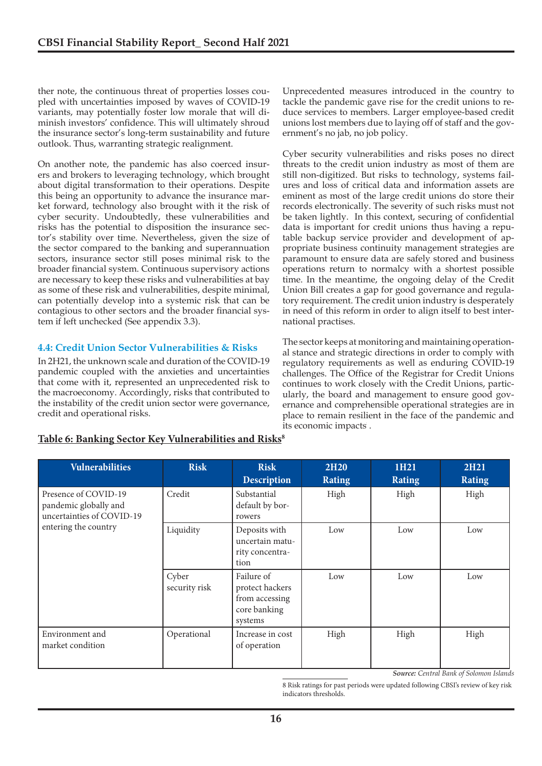ther note, the continuous threat of properties losses coupled with uncertainties imposed by waves of COVID-19 variants, may potentially foster low morale that will diminish investors' confidence. This will ultimately shroud the insurance sector's long-term sustainability and future outlook. Thus, warranting strategic realignment.

On another note, the pandemic has also coerced insurers and brokers to leveraging technology, which brought about digital transformation to their operations. Despite this being an opportunity to advance the insurance market forward, technology also brought with it the risk of cyber security. Undoubtedly, these vulnerabilities and risks has the potential to disposition the insurance sector's stability over time. Nevertheless, given the size of the sector compared to the banking and superannuation sectors, insurance sector still poses minimal risk to the broader financial system. Continuous supervisory actions are necessary to keep these risks and vulnerabilities at bay as some of these risk and vulnerabilities, despite minimal, can potentially develop into a systemic risk that can be contagious to other sectors and the broader financial system if left unchecked (See appendix 3.3).

#### **4.4: Credit Union Sector Vulnerabilities & Risks**

In 2H21, the unknown scale and duration of the COVID-19 pandemic coupled with the anxieties and uncertainties that come with it, represented an unprecedented risk to the macroeconomy. Accordingly, risks that contributed to the instability of the credit union sector were governance, credit and operational risks.

Unprecedented measures introduced in the country to tackle the pandemic gave rise for the credit unions to reduce services to members. Larger employee-based credit unions lost members due to laying off of staff and the government's no jab, no job policy.

Cyber security vulnerabilities and risks poses no direct threats to the credit union industry as most of them are still non-digitized. But risks to technology, systems failures and loss of critical data and information assets are eminent as most of the large credit unions do store their records electronically. The severity of such risks must not be taken lightly. In this context, securing of confidential data is important for credit unions thus having a reputable backup service provider and development of appropriate business continuity management strategies are paramount to ensure data are safely stored and business operations return to normalcy with a shortest possible time. In the meantime, the ongoing delay of the Credit Union Bill creates a gap for good governance and regulatory requirement. The credit union industry is desperately in need of this reform in order to align itself to best international practises.

The sector keeps at monitoring and maintaining operational stance and strategic directions in order to comply with regulatory requirements as well as enduring COVID-19 challenges. The Office of the Registrar for Credit Unions continues to work closely with the Credit Unions, particularly, the board and management to ensure good governance and comprehensible operational strategies are in place to remain resilient in the face of the pandemic and its economic impacts.

| <b>Vulnerabilities</b>                                                     | <b>Risk</b>            | <b>Risk</b><br><b>Description</b>                                          | <b>2H20</b><br><b>Rating</b> | 1H21<br><b>Rating</b> | <b>2H21</b><br><b>Rating</b> |  |
|----------------------------------------------------------------------------|------------------------|----------------------------------------------------------------------------|------------------------------|-----------------------|------------------------------|--|
| Presence of COVID-19<br>pandemic globally and<br>uncertainties of COVID-19 | Credit                 | Substantial<br>default by bor-<br>rowers                                   | High                         | High                  | High                         |  |
| entering the country                                                       | Liquidity              | Deposits with<br>uncertain matu-<br>rity concentra-<br>tion                | Low                          | Low                   | Low                          |  |
|                                                                            | Cyber<br>security risk | Failure of<br>protect hackers<br>from accessing<br>core banking<br>systems | Low                          | Low                   | Low                          |  |
| Environment and<br>market condition                                        | Operational            | Increase in cost<br>of operation                                           | High                         | High                  | High                         |  |

### Table 6: Banking Sector Key Vulnerabilities and Risks<sup>8</sup>

*Source: Central Bank of Solomon Islands*

8 Risk ratings for past periods were updated following CBSI's review of key risk indicators thresholds.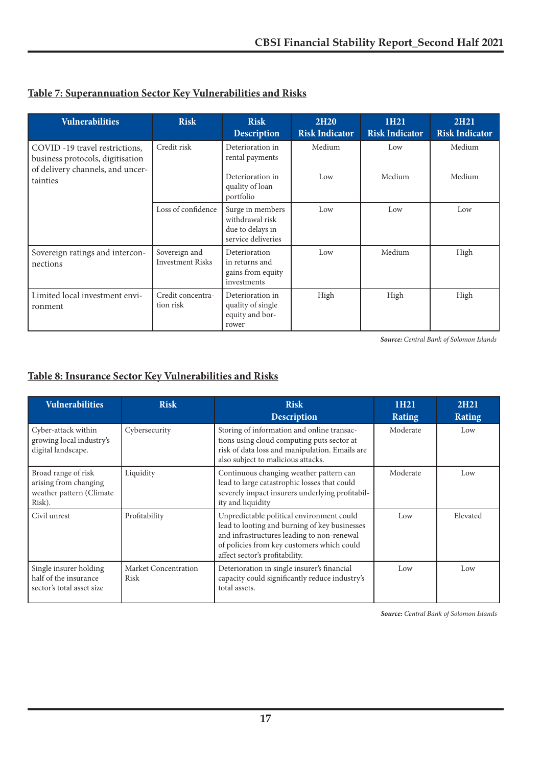|  | Table 7: Superannuation Sector Key Vulnerabilities and Risks |
|--|--------------------------------------------------------------|
|  |                                                              |

| <b>Vulnerabilities</b>                                                                                             | <b>Risk</b>                              | <b>Risk</b><br><b>Description</b>                                                       | <b>2H20</b><br><b>Risk Indicator</b> | 1H21<br><b>Risk Indicator</b> | <b>2H21</b><br><b>Risk Indicator</b> |
|--------------------------------------------------------------------------------------------------------------------|------------------------------------------|-----------------------------------------------------------------------------------------|--------------------------------------|-------------------------------|--------------------------------------|
| COVID -19 travel restrictions,<br>business protocols, digitisation<br>of delivery channels, and uncer-<br>tainties | Credit risk                              | Deterioration in<br>rental payments<br>Deterioration in<br>quality of loan<br>portfolio | Medium<br>Low                        | Low<br>Medium                 | Medium<br>Medium                     |
|                                                                                                                    | Loss of confidence                       | Surge in members<br>withdrawal risk<br>due to delays in<br>service deliveries           | Low                                  | Low                           | Low                                  |
| Sovereign ratings and intercon-<br>nections                                                                        | Sovereign and<br><b>Investment Risks</b> | Deterioration<br>in returns and<br>gains from equity<br>investments                     | Low                                  | Medium                        | High                                 |
| Limited local investment envi-<br>ronment                                                                          | Credit concentra-<br>tion risk           | Deterioration in<br>quality of single<br>equity and bor-<br>rower                       | High                                 | High                          | High                                 |

*Source: Central Bank of Solomon Islands*

# **Table 8: Insurance Sector Key Vulnerabilities and Risks**

| <b>Vulnerabilities</b>                                                             | <b>Risk</b>                  | <b>Risk</b><br><b>Description</b>                                                                                                                                                                                        | 1H <sub>21</sub><br><b>Rating</b> | 2H <sub>21</sub><br><b>Rating</b> |
|------------------------------------------------------------------------------------|------------------------------|--------------------------------------------------------------------------------------------------------------------------------------------------------------------------------------------------------------------------|-----------------------------------|-----------------------------------|
| Cyber-attack within<br>growing local industry's<br>digital landscape.              | Cybersecurity                | Storing of information and online transac-<br>tions using cloud computing puts sector at<br>risk of data loss and manipulation. Emails are<br>also subject to malicious attacks.                                         | Moderate                          | Low                               |
| Broad range of risk<br>arising from changing<br>weather pattern (Climate<br>Risk). | Liquidity                    | Continuous changing weather pattern can<br>lead to large catastrophic losses that could<br>severely impact insurers underlying profitabil-<br>ity and liquidity                                                          | Moderate                          | Low                               |
| Civil unrest                                                                       | Profitability                | Unpredictable political environment could<br>lead to looting and burning of key businesses<br>and infrastructures leading to non-renewal<br>of policies from key customers which could<br>affect sector's profitability. | Low                               | Elevated                          |
| Single insurer holding<br>half of the insurance<br>sector's total asset size       | Market Concentration<br>Risk | Deterioration in single insurer's financial<br>capacity could significantly reduce industry's<br>total assets.                                                                                                           | Low                               | Low                               |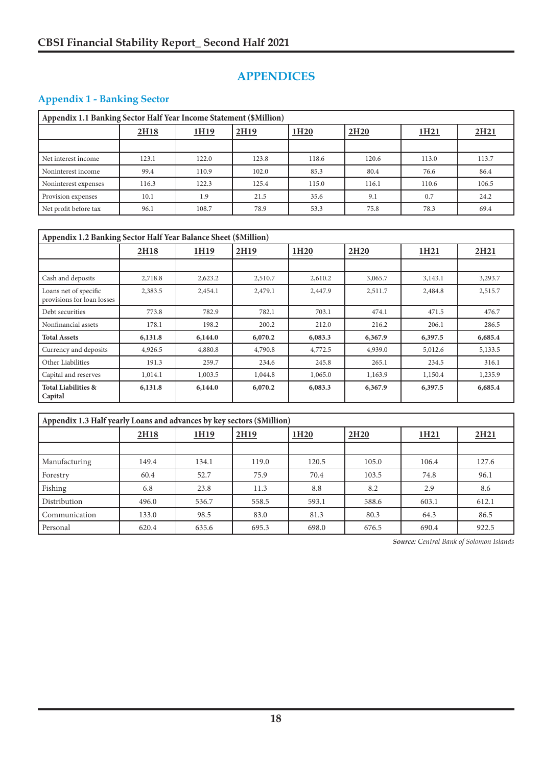# **APPENDICES**

## **Appendix 1 - Banking Sector**

| Appendix 1.1 Banking Sector Half Year Income Statement (\$Million) |       |             |       |                  |                  |       |                  |  |
|--------------------------------------------------------------------|-------|-------------|-------|------------------|------------------|-------|------------------|--|
|                                                                    | 2H18  | <u>1H19</u> | 2H19  | 1H <sub>20</sub> | 2H <sub>20</sub> | 1H21  | 2H <sub>21</sub> |  |
|                                                                    |       |             |       |                  |                  |       |                  |  |
| Net interest income                                                | 123.1 | 122.0       | 123.8 | 118.6            | 120.6            | 113.0 | 113.7            |  |
| Noninterest income                                                 | 99.4  | 110.9       | 102.0 | 85.3             | 80.4             | 76.6  | 86.4             |  |
| Noninterest expenses                                               | 116.3 | 122.3       | 125.4 | 115.0            | 116.1            | 110.6 | 106.5            |  |
| Provision expenses                                                 | 10.1  | 1.9         | 21.5  | 35.6             | 9.1              | 0.7   | 24.2             |  |
| Net profit before tax                                              | 96.1  | 108.7       | 78.9  | 53.3             | 75.8             | 78.3  | 69.4             |  |

| Appendix 1.2 Banking Sector Half Year Balance Sheet (\$Million) |         |         |         |                  |                  |         |                  |  |
|-----------------------------------------------------------------|---------|---------|---------|------------------|------------------|---------|------------------|--|
|                                                                 | 2H18    | 1H19    | 2H19    | 1H <sub>20</sub> | 2H <sub>20</sub> | 1H21    | 2H <sub>21</sub> |  |
|                                                                 |         |         |         |                  |                  |         |                  |  |
| Cash and deposits                                               | 2,718.8 | 2,623.2 | 2,510.7 | 2,610.2          | 3,065.7          | 3,143.1 | 3,293.7          |  |
| Loans net of specific<br>provisions for loan losses             | 2,383.5 | 2,454.1 | 2,479.1 | 2,447.9          | 2,511.7          | 2,484.8 | 2,515.7          |  |
| Debt securities                                                 | 773.8   | 782.9   | 782.1   | 703.1            | 474.1            | 471.5   | 476.7            |  |
| Nonfinancial assets                                             | 178.1   | 198.2   | 200.2   | 212.0            | 216.2            | 206.1   | 286.5            |  |
| <b>Total Assets</b>                                             | 6,131.8 | 6,144.0 | 6,070.2 | 6,083.3          | 6,367.9          | 6,397.5 | 6,685.4          |  |
| Currency and deposits                                           | 4,926.5 | 4,880.8 | 4,790.8 | 4,772.5          | 4,939.0          | 5,012.6 | 5,133.5          |  |
| Other Liabilities                                               | 191.3   | 259.7   | 234.6   | 245.8            | 265.1            | 234.5   | 316.1            |  |
| Capital and reserves                                            | 1,014.1 | 1,003.5 | 1,044.8 | 1,065.0          | 1,163.9          | 1,150.4 | 1,235.9          |  |
| <b>Total Liabilities &amp;</b><br>Capital                       | 6,131.8 | 6,144.0 | 6,070.2 | 6,083.3          | 6,367.9          | 6,397.5 | 6,685.4          |  |

| Appendix 1.3 Half yearly Loans and advances by key sectors (\$Million) |       |                  |       |                  |                  |       |                  |  |
|------------------------------------------------------------------------|-------|------------------|-------|------------------|------------------|-------|------------------|--|
|                                                                        | 2H18  | 1H <sub>19</sub> | 2H19  | 1H <sub>20</sub> | 2H <sub>20</sub> | 1H21  | 2H <sub>21</sub> |  |
|                                                                        |       |                  |       |                  |                  |       |                  |  |
| Manufacturing                                                          | 149.4 | 134.1            | 119.0 | 120.5            | 105.0            | 106.4 | 127.6            |  |
| Forestry                                                               | 60.4  | 52.7             | 75.9  | 70.4             | 103.5            | 74.8  | 96.1             |  |
| Fishing                                                                | 6.8   | 23.8             | 11.3  | 8.8              | 8.2              | 2.9   | 8.6              |  |
| Distribution                                                           | 496.0 | 536.7            | 558.5 | 593.1            | 588.6            | 603.1 | 612.1            |  |
| Communication                                                          | 133.0 | 98.5             | 83.0  | 81.3             | 80.3             | 64.3  | 86.5             |  |
| Personal                                                               | 620.4 | 635.6            | 695.3 | 698.0            | 676.5            | 690.4 | 922.5            |  |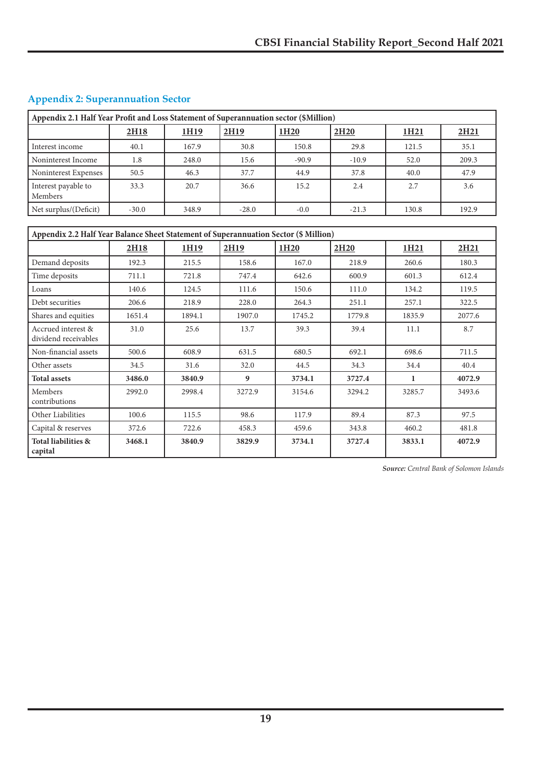| Appendix 2.1 Half Year Profit and Loss Statement of Superannuation sector (\$Million) |         |       |                  |                  |                  |                  |                  |  |  |
|---------------------------------------------------------------------------------------|---------|-------|------------------|------------------|------------------|------------------|------------------|--|--|
|                                                                                       | 2H18    | 1H19  | 2H <sub>19</sub> | 1H <sub>20</sub> | 2H <sub>20</sub> | 1H <sub>21</sub> | 2H <sub>21</sub> |  |  |
| Interest income                                                                       | 40.1    | 167.9 | 30.8             | 150.8            | 29.8             | 121.5            | 35.1             |  |  |
| Noninterest Income                                                                    | 1.8     | 248.0 | 15.6             | $-90.9$          | $-10.9$          | 52.0             | 209.3            |  |  |
| Noninterest Expenses                                                                  | 50.5    | 46.3  | 37.7             | 44.9             | 37.8             | 40.0             | 47.9             |  |  |
| Interest payable to<br>Members                                                        | 33.3    | 20.7  | 36.6             | 15.2             | 2.4              | 2.7              | 3.6              |  |  |
| Net surplus/(Deficit)                                                                 | $-30.0$ | 348.9 | $-28.0$          | $-0.0$           | $-21.3$          | 130.8            | 192.9            |  |  |

## **Appendix 2: Superannuation Sector**

| Appendix 2.2 Half Year Balance Sheet Statement of Superannuation Sector (\$ Million) |        |        |                  |                  |                  |                  |                  |  |
|--------------------------------------------------------------------------------------|--------|--------|------------------|------------------|------------------|------------------|------------------|--|
|                                                                                      | 2H18   | 1H19   | 2H19             | 1H <sub>20</sub> | 2H <sub>20</sub> | 1H <sub>21</sub> | 2H <sub>21</sub> |  |
| Demand deposits                                                                      | 192.3  | 215.5  | 158.6            | 167.0            | 218.9            | 260.6            | 180.3            |  |
| Time deposits                                                                        | 711.1  | 721.8  | 747.4            | 642.6            | 600.9            | 601.3            | 612.4            |  |
| Loans                                                                                | 140.6  | 124.5  | 111.6            | 150.6            | 111.0            | 134.2            | 119.5            |  |
| Debt securities                                                                      | 206.6  | 218.9  | 228.0            | 264.3            | 251.1            | 257.1            | 322.5            |  |
| Shares and equities                                                                  | 1651.4 | 1894.1 | 1907.0           | 1745.2           | 1779.8           | 1835.9           | 2077.6           |  |
| Accrued interest &<br>dividend receivables                                           | 31.0   | 25.6   | 13.7             | 39.3             | 39.4             | 11.1             | 8.7              |  |
| Non-financial assets                                                                 | 500.6  | 608.9  | 631.5            | 680.5            | 692.1            | 698.6            | 711.5            |  |
| Other assets                                                                         | 34.5   | 31.6   | 32.0             | 44.5             | 34.3             | 34.4             | 40.4             |  |
| <b>Total assets</b>                                                                  | 3486.0 | 3840.9 | $\boldsymbol{q}$ | 3734.1           | 3727.4           | 1                | 4072.9           |  |
| Members<br>contributions                                                             | 2992.0 | 2998.4 | 3272.9           | 3154.6           | 3294.2           | 3285.7           | 3493.6           |  |
| Other Liabilities                                                                    | 100.6  | 115.5  | 98.6             | 117.9            | 89.4             | 87.3             | 97.5             |  |
| Capital & reserves                                                                   | 372.6  | 722.6  | 458.3            | 459.6            | 343.8            | 460.2            | 481.8            |  |
| Total liabilities &<br>capital                                                       | 3468.1 | 3840.9 | 3829.9           | 3734.1           | 3727.4           | 3833.1           | 4072.9           |  |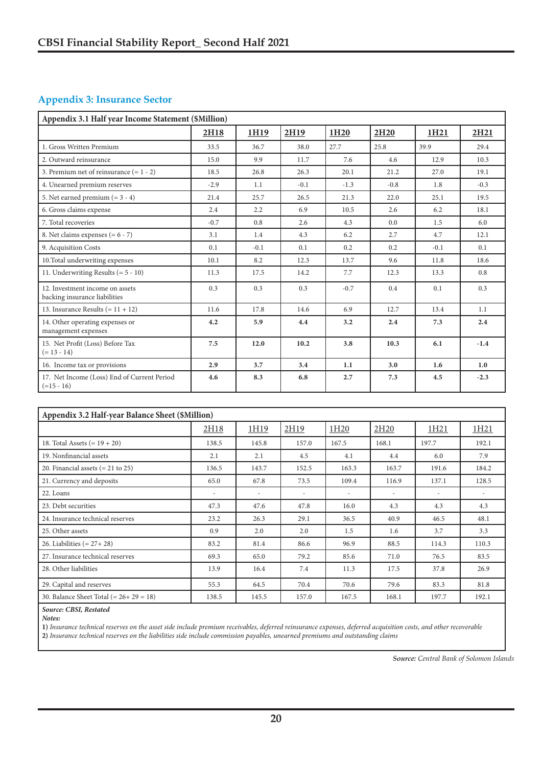### **Appendix 3: Insurance Sector**

| Appendix 3.1 Half year Income Statement (\$Million)              |        |        |        |                  |                  |                  |        |
|------------------------------------------------------------------|--------|--------|--------|------------------|------------------|------------------|--------|
|                                                                  | 2H18   | 1H19   | 2H19   | 1H <sub>20</sub> | 2H <sub>20</sub> | 1H <sub>21</sub> | 2H21   |
| 1. Gross Written Premium                                         | 33.5   | 36.7   | 38.0   | 27.7             | 25.8             | 39.9             | 29.4   |
| 2. Outward reinsurance                                           | 15.0   | 9.9    | 11.7   | 7.6              | 4.6              | 12.9             | 10.3   |
| 3. Premium net of reinsurance $(= 1 - 2)$                        | 18.5   | 26.8   | 26.3   | 20.1             | 21.2             | 27.0             | 19.1   |
| 4. Unearned premium reserves                                     | $-2.9$ | 1.1    | $-0.1$ | $-1.3$           | $-0.8$           | 1.8              | $-0.3$ |
| 5. Net earned premium $(= 3 - 4)$                                | 21.4   | 25.7   | 26.5   | 21.3             | 22.0             | 25.1             | 19.5   |
| 6. Gross claims expense                                          | 2.4    | 2.2    | 6.9    | 10.5             | 2.6              | 6.2              | 18.1   |
| 7. Total recoveries                                              | $-0.7$ | 0.8    | 2.6    | 4.3              | 0.0              | 1.5              | 6.0    |
| 8. Net claims expenses $(= 6 - 7)$                               | 3.1    | 1.4    | 4.3    | 6.2              | 2.7              | 4.7              | 12.1   |
| 9. Acquisition Costs                                             | 0.1    | $-0.1$ | 0.1    | 0.2              | 0.2              | $-0.1$           | 0.1    |
| 10. Total underwriting expenses                                  | 10.1   | 8.2    | 12.3   | 13.7             | 9.6              | 11.8             | 18.6   |
| 11. Underwriting Results $(= 5 - 10)$                            | 11.3   | 17.5   | 14.2   | 7.7              | 12.3             | 13.3             | 0.8    |
| 12. Investment income on assets<br>backing insurance liabilities | 0.3    | 0.3    | 0.3    | $-0.7$           | 0.4              | 0.1              | 0.3    |
| 13. Insurance Results $(= 11 + 12)$                              | 11.6   | 17.8   | 14.6   | 6.9              | 12.7             | 13.4             | 1.1    |
| 14. Other operating expenses or<br>management expenses           | 4.2    | 5.9    | 4.4    | 3.2              | 2.4              | 7.3              | 2.4    |
| 15. Net Profit (Loss) Before Tax<br>$(= 13 - 14)$                | 7.5    | 12.0   | 10.2   | 3.8              | 10.3             | 6.1              | $-1.4$ |
| 16. Income tax or provisions                                     | 2.9    | 3.7    | 3.4    | 1.1              | 3.0              | 1.6              | 1.0    |
| 17. Net Income (Loss) End of Current Period<br>$(=15 - 16)$      | 4.6    | 8.3    | 6.8    | 2.7              | 7.3              | 4.5              | $-2.3$ |

| Appendix 3.2 Half-year Balance Sheet (\$Million) |                          |       |                          |                          |       |       |       |  |
|--------------------------------------------------|--------------------------|-------|--------------------------|--------------------------|-------|-------|-------|--|
|                                                  | 2H18                     | 1H19  | 2H19                     | 1H20                     | 2H20  | 1H21  | 1H21  |  |
| 18. Total Assets $(= 19 + 20)$                   | 138.5                    | 145.8 | 157.0                    | 167.5                    | 168.1 | 197.7 | 192.1 |  |
| 19. Nonfinancial assets                          | 2.1                      | 2.1   | 4.5                      | 4.1                      | 4.4   | 6.0   | 7.9   |  |
| 20. Financial assets $(= 21$ to 25)              | 136.5                    | 143.7 | 152.5                    | 163.3                    | 163.7 | 191.6 | 184.2 |  |
| 21. Currency and deposits                        | 65.0                     | 67.8  | 73.5                     | 109.4                    | 116.9 | 137.1 | 128.5 |  |
| 22. Loans                                        | $\overline{\phantom{a}}$ | ٠     | $\overline{\phantom{a}}$ | $\overline{\phantom{a}}$ |       | ۰     |       |  |
| 23. Debt securities                              | 47.3                     | 47.6  | 47.8                     | 16.0                     | 4.3   | 4.3   | 4.3   |  |
| 24. Insurance technical reserves                 | 23.2                     | 26.3  | 29.1                     | 36.5                     | 40.9  | 46.5  | 48.1  |  |
| 25. Other assets                                 | 0.9                      | 2.0   | 2.0                      | 1.5                      | 1.6   | 3.7   | 3.3   |  |
| 26. Liabilities $(= 27 + 28)$                    | 83.2                     | 81.4  | 86.6                     | 96.9                     | 88.5  | 114.3 | 110.3 |  |
| 27. Insurance technical reserves                 | 69.3                     | 65.0  | 79.2                     | 85.6                     | 71.0  | 76.5  | 83.5  |  |
| 28. Other liabilities                            | 13.9                     | 16.4  | 7.4                      | 11.3                     | 17.5  | 37.8  | 26.9  |  |
| 29. Capital and reserves                         | 55.3                     | 64.5  | 70.4                     | 70.6                     | 79.6  | 83.3  | 81.8  |  |
| 30. Balance Sheet Total $(= 26 + 29 = 18)$       | 138.5                    | 145.5 | 157.0                    | 167.5                    | 168.1 | 197.7 | 192.1 |  |

*Source: CBSI, Restated*

*Notes:*

**1)** *Insurance technical reserves on the asset side include premium receivables, deferred reinsurance expenses, deferred acquisition costs, and other recoverable*

**2)** *Insurance technical reserves on the liabilities side include commission payables, unearned premiums and outstanding claims*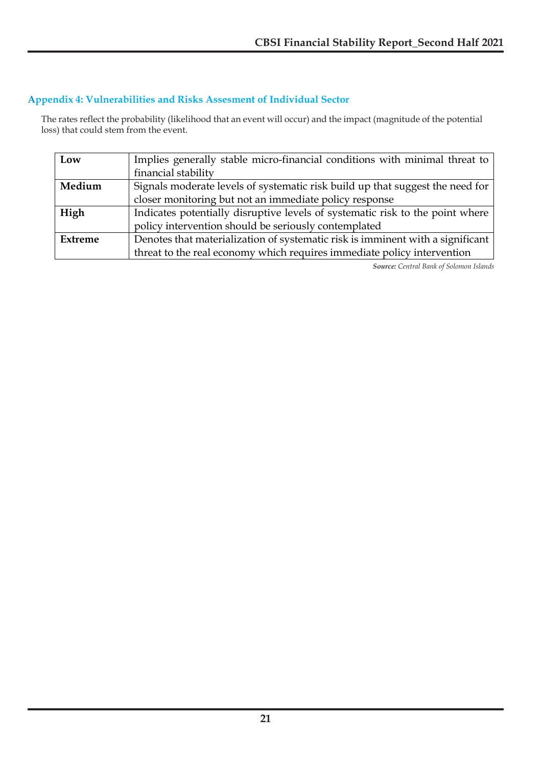### **Appendix 4: Vulnerabilities and Risks Assesment of Individual Sector Appendix 4: Vulnerabilities and Risks Assessment of Individual Sector**

e rates reflect the probability (likelihood that an event will occur) and the impact (magnitude of the potential  $\beta$ ) that could stem from the event. The rates reflect the probability (likelihood that an event will occur) and the impact (magnitude of the potential loss) that could stem from the event.

| Low            | Implies generally stable micro-financial conditions with minimal threat to     |
|----------------|--------------------------------------------------------------------------------|
|                | financial stability                                                            |
| Medium         | Signals moderate levels of systematic risk build up that suggest the need for  |
|                | closer monitoring but not an immediate policy response                         |
| High           | Indicates potentially disruptive levels of systematic risk to the point where  |
|                | policy intervention should be seriously contemplated                           |
| <b>Extreme</b> | Denotes that materialization of systematic risk is imminent with a significant |
|                | threat to the real economy which requires immediate policy intervention        |